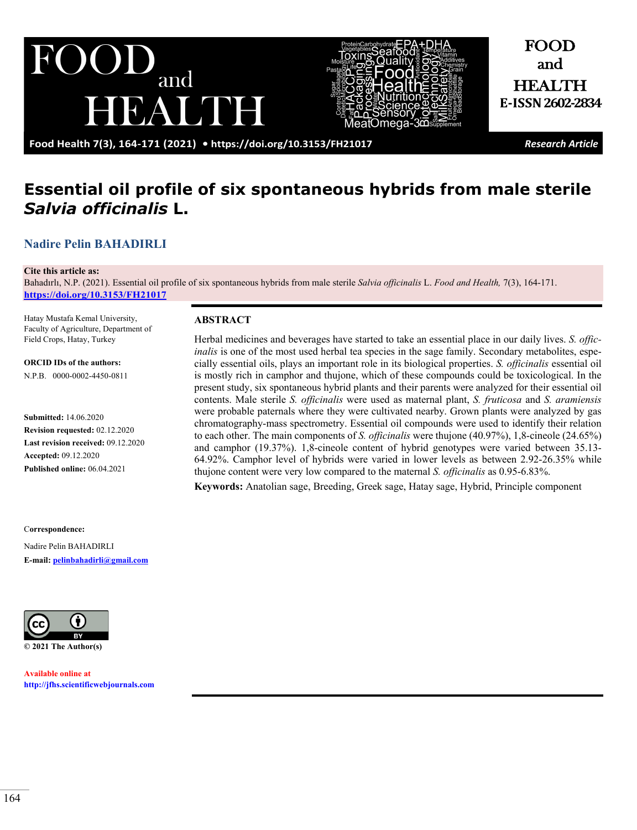



and HEALTH **E-ISSN2602-2834**

FOOD

**Food Health 7(3), 164-171 (2021) •<https://doi.org/10.3153/FH21017>** *Research Article*

# **Essential oil profile of six spontaneous hybrids from male sterile**  *Salvia officinalis* **L.**

### **[Nadire Pelin BAHADIRLI](https://orcid.org/0000-0002-4450-0811)**

#### **Cite this article as:**

Bahadırlı, N.P. (2021). Essential oil profile of six spontaneous hybrids from male sterile *Salvia officinalis* L. *Food and Health,* 7(3), 164-171. **<https://doi.org/10.3153/FH21017>**

Hatay Mustafa Kemal University, Faculty of Agriculture, Department of Field Crops, Hatay, Turkey

**ORCID IDs of the authors:** N.P.B. 0000-0002-4450-0811

**Submitted:** 14.06.2020 **Revision requested:** 02.12.2020 **Last revision received:** 09.12.2020 **Accepted:** 09.12.2020 **Published online:** 06.04.2021

C**orrespondence:**  Nadire Pelin BAHADIRLI **E-mail: [pelinbahadirli@gmail.com](mailto:pelinbahadirli@gmail.com)**



**Available online at [http://jfhs.scientificwebjournals.com](http://jfhs.scientificwebjournals.com/)**

#### **ABSTRACT**

Herbal medicines and beverages have started to take an essential place in our daily lives. *S. officinalis* is one of the most used herbal tea species in the sage family. Secondary metabolites, especially essential oils, plays an important role in its biological properties. *S. officinalis* essential oil is mostly rich in camphor and thujone, which of these compounds could be toxicological. In the present study, six spontaneous hybrid plants and their parents were analyzed for their essential oil contents. Male sterile *S. officinalis* were used as maternal plant, *S. fruticosa* and *S. aramiensis*  were probable paternals where they were cultivated nearby. Grown plants were analyzed by gas chromatography-mass spectrometry. Essential oil compounds were used to identify their relation to each other. The main components of *S. officinalis* were thujone (40.97%), 1,8-cineole (24.65%) and camphor (19.37%). 1,8-cineole content of hybrid genotypes were varied between 35.13- 64.92%. Camphor level of hybrids were varied in lower levels as between 2.92-26.35% while thujone content were very low compared to the maternal *S. officinalis* as 0.95-6.83%.

**Keywords:** Anatolian sage, Breeding, Greek sage, Hatay sage, Hybrid, Principle component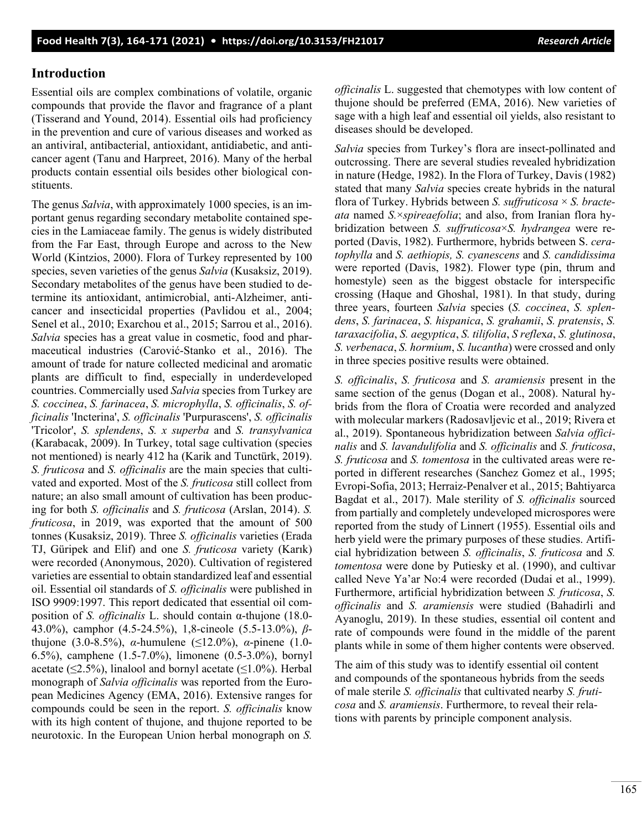#### **Introduction**

Essential oils are complex combinations of volatile, organic compounds that provide the flavor and fragrance of a plant (Tisserand and Yound, 2014). Essential oils had proficiency in the prevention and cure of various diseases and worked as an antiviral, antibacterial, antioxidant, antidiabetic, and anticancer agent (Tanu and Harpreet, 2016). Many of the herbal products contain essential oils besides other biological constituents.

The genus *Salvia*, with approximately 1000 species, is an important genus regarding secondary metabolite contained species in the Lamiaceae family. The genus is widely distributed from the Far East, through Europe and across to the New World (Kintzios, 2000). Flora of Turkey represented by 100 species, seven varieties of the genus *Salvia* (Kusaksiz, 2019). Secondary metabolites of the genus have been studied to determine its antioxidant, antimicrobial, anti-Alzheimer, anticancer and insecticidal properties (Pavlidou et al., 2004; Senel et al., 2010; Exarchou et al., 2015; Sarrou et al., 2016). *Salvia* species has a great value in cosmetic, food and pharmaceutical industries (Carović-Stanko et al., 2016). The amount of trade for nature collected medicinal and aromatic plants are difficult to find, especially in underdeveloped countries. Commercially used *Salvia* species from Turkey are *S. coccinea*, *S. farinacea*, *S. microphylla*, *S. officinalis*, *S. officinalis* 'Incterina', *S. officinalis* 'Purpurascens', *S. officinalis* 'Tricolor', *S. splendens*, *S. x superba* and *S. transylvanica* (Karabacak, 2009). In Turkey, total sage cultivation (species not mentioned) is nearly 412 ha (Karik and Tunctürk, 2019). *S. fruticosa* and *S. officinalis* are the main species that cultivated and exported. Most of the *S. fruticosa* still collect from nature; an also small amount of cultivation has been producing for both *S. officinalis* and *S. fruticosa* (Arslan, 2014). *S. fruticosa*, in 2019, was exported that the amount of 500 tonnes (Kusaksiz, 2019). Three *S. officinalis* varieties (Erada TJ, Güripek and Elif) and one *S. fruticosa* variety (Karık) were recorded (Anonymous, 2020). Cultivation of registered varieties are essential to obtain standardized leaf and essential oil. Essential oil standards of *S. officinalis* were published in ISO 9909:1997. This report dedicated that essential oil composition of *S. officinalis* L. should contain α-thujone (18.0- 43.0%), camphor (4.5-24.5%), 1,8-cineole (5.5-13.0%), *β*thujone (3.0-8.5%), *α*-humulene (≤12.0%), *α*-pinene (1.0- 6.5%), camphene (1.5-7.0%), limonene (0.5-3.0%), bornyl acetate ( $\leq$ 2.5%), linalool and bornyl acetate ( $\leq$ 1.0%). Herbal monograph of *Salvia officinalis* was reported from the European Medicines Agency (EMA, 2016). Extensive ranges for compounds could be seen in the report. *S. officinalis* know with its high content of thujone, and thujone reported to be neurotoxic. In the European Union herbal monograph on *S.* 

*officinalis* L. suggested that chemotypes with low content of thujone should be preferred (EMA, 2016). New varieties of sage with a high leaf and essential oil yields, also resistant to diseases should be developed.

*Salvia* species from Turkey's flora are insect-pollinated and outcrossing. There are several studies revealed hybridization in nature (Hedge, 1982). In the Flora of Turkey, Davis (1982) stated that many *Salvia* species create hybrids in the natural flora of Turkey. Hybrids between *S. suffruticosa* × *S. bracteata* named *S.*×*spireaefolia*; and also, from Iranian flora hybridization between *S. suffruticosa*×*S. hydrangea* were reported (Davis, 1982). Furthermore, hybrids between S. *ceratophylla* and *S. aethiopis, S. cyanescens* and *S. candidissima*  were reported (Davis, 1982). Flower type (pin, thrum and homestyle) seen as the biggest obstacle for interspecific crossing (Haque and Ghoshal, 1981). In that study, during three years, fourteen *Salvia* species (*S. coccinea*, *S. splendens*, *S. farinacea*, *S. hispanica*, *S. grahamii*, *S. pratensis*, *S. taraxacifolia*, *S. aegyptica*, *S. tilifolia*, *S refle*x*a*, *S. glutinosa*, *S. verbenaca*, *S. hormium*, *S. lucantha*) were crossed and only in three species positive results were obtained.

*S. officinalis*, *S. fruticosa* and *S. aramiensis* present in the same section of the genus (Dogan et al., 2008). Natural hybrids from the flora of Croatia were recorded and analyzed with molecular markers (Radosavljevic et al., 2019; Rivera et al., 2019). Spontaneous hybridization between *Salvia officinalis* and *S. lavandulifolia* and *S. officinalis* and *S. fruticosa*, *S. fruticosa* and *S. tomentosa* in the cultivated areas were reported in different researches (Sanchez Gomez et al., 1995; Evropi-Sofia, 2013; Herraiz-Penalver et al., 2015; Bahtiyarca Bagdat et al., 2017). Male sterility of *S. officinalis* sourced from partially and completely undeveloped microspores were reported from the study of Linnert (1955). Essential oils and herb yield were the primary purposes of these studies. Artificial hybridization between *S. officinalis*, *S. fruticosa* and *S. tomentosa* were done by Putiesky et al. (1990), and cultivar called Neve Ya'ar No:4 were recorded (Dudai et al., 1999). Furthermore, artificial hybridization between *S. fruticosa*, *S. officinalis* and *S. aramiensis* were studied (Bahadirli and Ayanoglu, 2019). In these studies, essential oil content and rate of compounds were found in the middle of the parent plants while in some of them higher contents were observed.

The aim of this study was to identify essential oil content and compounds of the spontaneous hybrids from the seeds of male sterile *S. officinalis* that cultivated nearby *S. fruticosa* and *S. aramiensis*. Furthermore, to reveal their relations with parents by principle component analysis.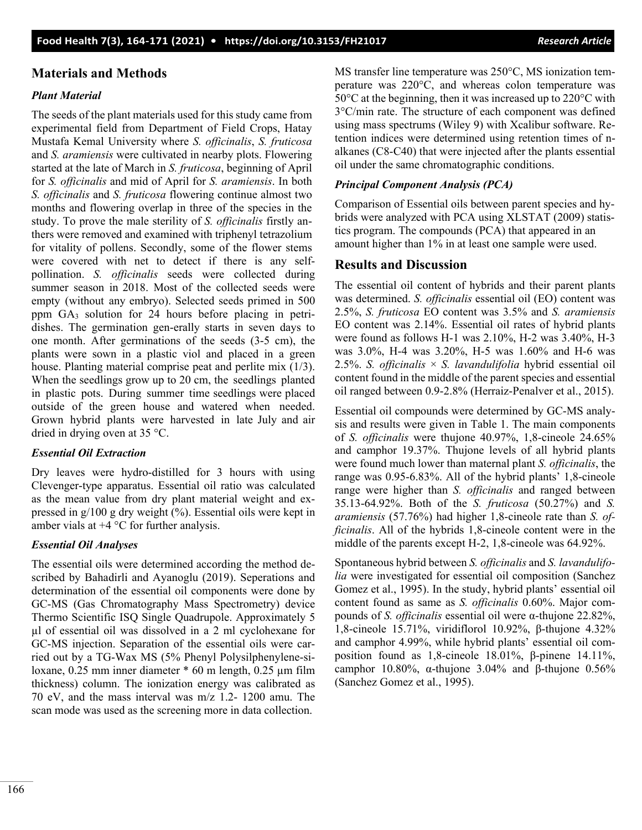# **Materials and Methods**

### *Plant Material*

The seeds of the plant materials used for this study came from experimental field from Department of Field Crops, Hatay Mustafa Kemal University where *S. officinalis*, *S. fruticosa* and *S. aramiensis* were cultivated in nearby plots. Flowering started at the late of March in *S. fruticosa*, beginning of April for *S. officinalis* and mid of April for *S. aramiensis*. In both *S. officinalis* and *S. fruticosa* flowering continue almost two months and flowering overlap in three of the species in the study. To prove the male sterility of *S. officinalis* firstly anthers were removed and examined with triphenyl tetrazolium for vitality of pollens. Secondly, some of the flower stems were covered with net to detect if there is any selfpollination. *S. officinalis* seeds were collected during summer season in 2018. Most of the collected seeds were empty (without any embryo). Selected seeds primed in 500 ppm GA<sup>3</sup> solution for 24 hours before placing in petridishes. The germination gen-erally starts in seven days to one month. After germinations of the seeds (3-5 cm), the plants were sown in a plastic viol and placed in a green house. Planting material comprise peat and perlite mix (1/3). When the seedlings grow up to 20 cm, the seedlings planted in plastic pots. During summer time seedlings were placed outside of the green house and watered when needed. Grown hybrid plants were harvested in late July and air dried in drying oven at 35 °C.

## *Essential Oil Extraction*

Dry leaves were hydro-distilled for 3 hours with using Clevenger-type apparatus. Essential oil ratio was calculated as the mean value from dry plant material weight and expressed in g/100 g dry weight (%). Essential oils were kept in amber vials at  $+4$  °C for further analysis.

## *Essential Oil Analyses*

The essential oils were determined according the method described by Bahadirli and Ayanoglu (2019). Seperations and determination of the essential oil components were done by GC-MS (Gas Chromatography Mass Spectrometry) device Thermo Scientific ISQ Single Quadrupole. Approximately 5 µl of essential oil was dissolved in a 2 ml cyclohexane for GC-MS injection. Separation of the essential oils were carried out by a TG-Wax MS (5% Phenyl Polysilphenylene-siloxane, 0.25 mm inner diameter \* 60 m length, 0.25 µm film thickness) column. The ionization energy was calibrated as 70 eV, and the mass interval was m/z 1.2- 1200 amu. The scan mode was used as the screening more in data collection.

MS transfer line temperature was 250°C, MS ionization temperature was 220°C, and whereas colon temperature was 50°C at the beginning, then it was increased up to 220°C with 3°C/min rate. The structure of each component was defined using mass spectrums (Wiley 9) with Xcalibur software. Retention indices were determined using retention times of nalkanes (C8-C40) that were injected after the plants essential oil under the same chromatographic conditions.

### *Principal Component Analysis (PCA)*

Comparison of Essential oils between parent species and hybrids were analyzed with PCA using XLSTAT (2009) statistics program. The compounds (PCA) that appeared in an amount higher than 1% in at least one sample were used.

# **Results and Discussion**

The essential oil content of hybrids and their parent plants was determined. *S. officinalis* essential oil (EO) content was 2.5%, *S. fruticosa* EO content was 3.5% and *S. aramiensis* EO content was 2.14%. Essential oil rates of hybrid plants were found as follows H-1 was 2.10%, H-2 was 3.40%, H-3 was 3.0%, H-4 was 3.20%, H-5 was 1.60% and H-6 was 2.5%. *S. officinalis* × *S. lavandulifolia* hybrid essential oil content found in the middle of the parent species and essential oil ranged between 0.9-2.8% (Herraiz-Penalver et al., 2015).

Essential oil compounds were determined by GC-MS analysis and results were given in Table 1. The main components of *S. officinalis* were thujone 40.97%, 1,8-cineole 24.65% and camphor 19.37%. Thujone levels of all hybrid plants were found much lower than maternal plant *S. officinalis*, the range was 0.95-6.83%. All of the hybrid plants' 1,8-cineole range were higher than *S. officinalis* and ranged between 35.13-64.92%. Both of the *S. fruticosa* (50.27%) and *S. aramiensis* (57.76%) had higher 1,8-cineole rate than *S. officinalis*. All of the hybrids 1,8-cineole content were in the middle of the parents except H-2, 1,8-cineole was 64.92%.

Spontaneous hybrid between *S. officinalis* and *S. lavandulifolia* were investigated for essential oil composition (Sanchez Gomez et al., 1995). In the study, hybrid plants' essential oil content found as same as *S. officinalis* 0.60%. Major compounds of *S. officinalis* essential oil were α-thujone 22.82%, 1,8-cineole 15.71%, viridiflorol 10.92%, β-thujone 4.32% and camphor 4.99%, while hybrid plants' essential oil composition found as 1,8-cineole 18.01%, β-pinene 14.11%, camphor 10.80%, α-thujone 3.04% and β-thujone 0.56% (Sanchez Gomez et al., 1995).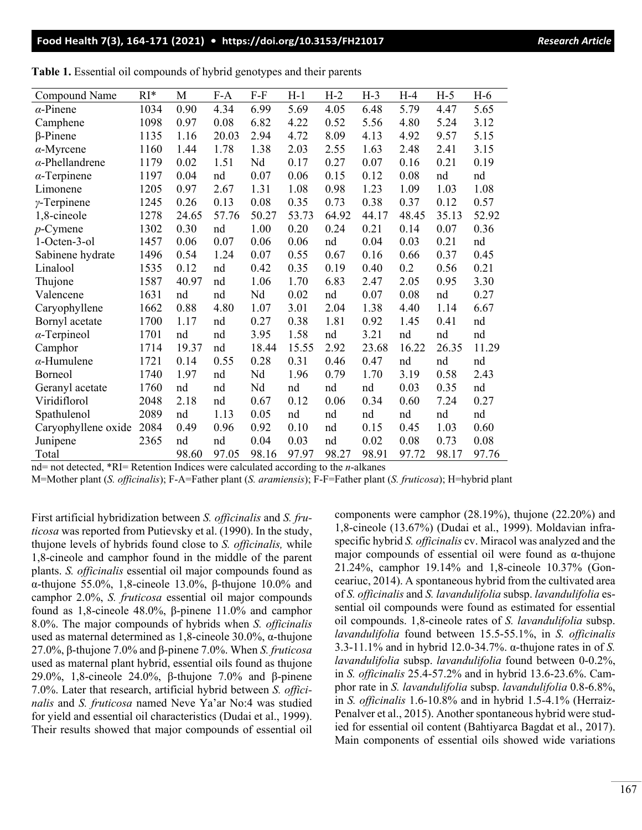#### **Food Health 7(3), 164-171 (2021) • <https://doi.org/10.3153/FH21017>***Research Article*

| Compound Name          | RI*  | M     | $F-A$ | $F-F$ | $H-1$ | $H-2$ | $H-3$ | $H-4$ | $H-5$ | $H-6$ |
|------------------------|------|-------|-------|-------|-------|-------|-------|-------|-------|-------|
| $\alpha$ -Pinene       | 1034 | 0.90  | 4.34  | 6.99  | 5.69  | 4.05  | 6.48  | 5.79  | 4.47  | 5.65  |
| Camphene               | 1098 | 0.97  | 0.08  | 6.82  | 4.22  | 0.52  | 5.56  | 4.80  | 5.24  | 3.12  |
| $\beta$ -Pinene        | 1135 | 1.16  | 20.03 | 2.94  | 4.72  | 8.09  | 4.13  | 4.92  | 9.57  | 5.15  |
| $\alpha$ -Myrcene      | 1160 | 1.44  | 1.78  | 1.38  | 2.03  | 2.55  | 1.63  | 2.48  | 2.41  | 3.15  |
| $\alpha$ -Phellandrene | 1179 | 0.02  | 1.51  | Nd    | 0.17  | 0.27  | 0.07  | 0.16  | 0.21  | 0.19  |
| $\alpha$ -Terpinene    | 1197 | 0.04  | nd    | 0.07  | 0.06  | 0.15  | 0.12  | 0.08  | nd    | nd    |
| Limonene               | 1205 | 0.97  | 2.67  | 1.31  | 1.08  | 0.98  | 1.23  | 1.09  | 1.03  | 1.08  |
| $\gamma$ -Terpinene    | 1245 | 0.26  | 0.13  | 0.08  | 0.35  | 0.73  | 0.38  | 0.37  | 0.12  | 0.57  |
| 1,8-cineole            | 1278 | 24.65 | 57.76 | 50.27 | 53.73 | 64.92 | 44.17 | 48.45 | 35.13 | 52.92 |
| $p$ -Cymene            | 1302 | 0.30  | nd    | 1.00  | 0.20  | 0.24  | 0.21  | 0.14  | 0.07  | 0.36  |
| 1-Octen-3-ol           | 1457 | 0.06  | 0.07  | 0.06  | 0.06  | nd    | 0.04  | 0.03  | 0.21  | nd    |
| Sabinene hydrate       | 1496 | 0.54  | 1.24  | 0.07  | 0.55  | 0.67  | 0.16  | 0.66  | 0.37  | 0.45  |
| Linalool               | 1535 | 0.12  | nd    | 0.42  | 0.35  | 0.19  | 0.40  | 0.2   | 0.56  | 0.21  |
| Thujone                | 1587 | 40.97 | nd    | 1.06  | 1.70  | 6.83  | 2.47  | 2.05  | 0.95  | 3.30  |
| Valencene              | 1631 | nd    | nd    | Nd    | 0.02  | nd    | 0.07  | 0.08  | nd    | 0.27  |
| Caryophyllene          | 1662 | 0.88  | 4.80  | 1.07  | 3.01  | 2.04  | 1.38  | 4.40  | 1.14  | 6.67  |
| Bornyl acetate         | 1700 | 1.17  | nd    | 0.27  | 0.38  | 1.81  | 0.92  | 1.45  | 0.41  | nd    |
| $\alpha$ -Terpineol    | 1701 | nd    | nd    | 3.95  | 1.58  | nd    | 3.21  | nd    | nd    | nd    |
| Camphor                | 1714 | 19.37 | nd    | 18.44 | 15.55 | 2.92  | 23.68 | 16.22 | 26.35 | 11.29 |
| $\alpha$ -Humulene     | 1721 | 0.14  | 0.55  | 0.28  | 0.31  | 0.46  | 0.47  | nd    | nd    | nd    |
| Borneol                | 1740 | 1.97  | nd    | Nd    | 1.96  | 0.79  | 1.70  | 3.19  | 0.58  | 2.43  |
| Geranyl acetate        | 1760 | nd    | nd    | Nd    | nd    | nd    | nd    | 0.03  | 0.35  | nd    |
| Viridiflorol           | 2048 | 2.18  | nd    | 0.67  | 0.12  | 0.06  | 0.34  | 0.60  | 7.24  | 0.27  |
| Spathulenol            | 2089 | nd    | 1.13  | 0.05  | nd    | nd    | nd    | nd    | nd    | nd    |
| Caryophyllene oxide    | 2084 | 0.49  | 0.96  | 0.92  | 0.10  | nd    | 0.15  | 0.45  | 1.03  | 0.60  |
| Junipene               | 2365 | nd    | nd    | 0.04  | 0.03  | nd    | 0.02  | 0.08  | 0.73  | 0.08  |
| Total                  |      | 98.60 | 97.05 | 98.16 | 97.97 | 98.27 | 98.91 | 97.72 | 98.17 | 97.76 |

|  | Table 1. Essential oil compounds of hybrid genotypes and their parents |  |  |
|--|------------------------------------------------------------------------|--|--|
|  |                                                                        |  |  |

nd= not detected, \*RI= Retention Indices were calculated according to the *n*-alkanes

M=Mother plant (*S. officinalis*); F-A=Father plant (*S. aramiensis*); F-F=Father plant (*S. fruticosa*); H=hybrid plant

First artificial hybridization between *S. officinalis* and *S. fruticosa* was reported from Putievsky et al. (1990). In the study, thujone levels of hybrids found close to *S. officinalis,* while 1,8-cineole and camphor found in the middle of the parent plants. *S. officinalis* essential oil major compounds found as α-thujone 55.0%, 1,8-cineole 13.0%, β-thujone 10.0% and camphor 2.0%, *S. fruticosa* essential oil major compounds found as 1,8-cineole 48.0%, β-pinene 11.0% and camphor 8.0%. The major compounds of hybrids when *S. officinalis*  used as maternal determined as 1,8-cineole 30.0%, α-thujone 27.0%, β-thujone 7.0% and β-pinene 7.0%. When *S. fruticosa* used as maternal plant hybrid, essential oils found as thujone 29.0%, 1,8-cineole 24.0%, β-thujone 7.0% and β-pinene 7.0%. Later that research, artificial hybrid between *S. officinalis* and *S. fruticosa* named Neve Ya'ar No:4 was studied for yield and essential oil characteristics (Dudai et al., 1999). Their results showed that major compounds of essential oil

components were camphor (28.19%), thujone (22.20%) and 1,8-cineole (13.67%) (Dudai et al., 1999). Moldavian infraspecific hybrid *S. officinalis* cv. Miracol was analyzed and the major compounds of essential oil were found as α-thujone 21.24%, camphor 19.14% and 1,8-cineole 10.37% (Gonceariuc, 2014). A spontaneous hybrid from the cultivated area of *S. officinalis* and *S. lavandulifolia* subsp. *lavandulifolia* essential oil compounds were found as estimated for essential oil compounds. 1,8-cineole rates of *S. lavandulifolia* subsp. *lavandulifolia* found between 15.5-55.1%, in *S. officinalis* 3.3-11.1% and in hybrid 12.0-34.7%. α-thujone rates in of *S. lavandulifolia* subsp. *lavandulifolia* found between 0-0.2%, in *S. officinalis* 25.4-57.2% and in hybrid 13.6-23.6%. Camphor rate in *S. lavandulifolia* subsp. *lavandulifolia* 0.8-6.8%, in *S. officinalis* 1.6-10.8% and in hybrid 1.5-4.1% (Herraiz-Penalver et al., 2015). Another spontaneous hybrid were studied for essential oil content (Bahtiyarca Bagdat et al., 2017). Main components of essential oils showed wide variations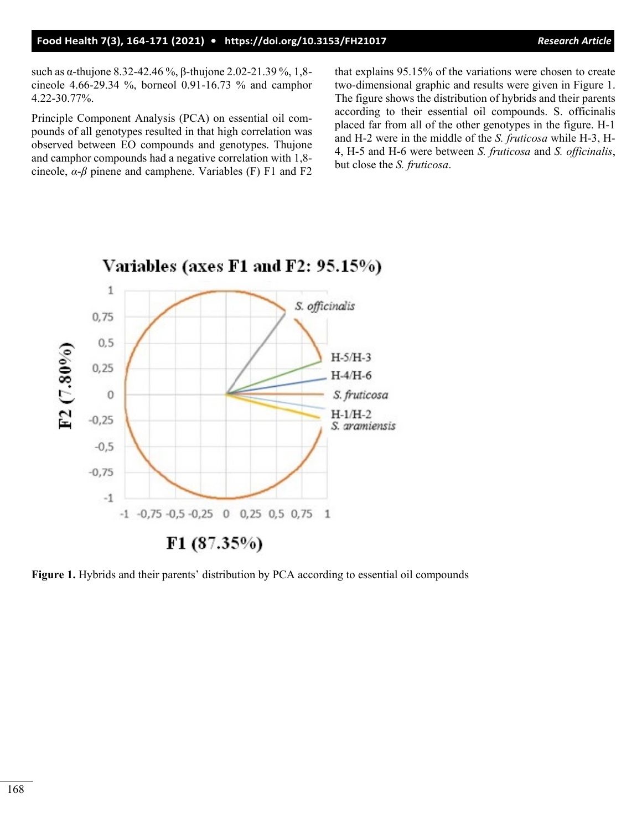such as α-thujone 8.32-42.46 %, β-thujone 2.02-21.39 %, 1,8 cineole 4.66-29.34 %, borneol 0.91-16.73 % and camphor 4.22-30.77%.

Principle Component Analysis (PCA) on essential oil compounds of all genotypes resulted in that high correlation was observed between EO compounds and genotypes. Thujone and camphor compounds had a negative correlation with 1,8 cineole, *α*-*β* pinene and camphene. Variables (F) F1 and F2 that explains 95.15% of the variations were chosen to create two-dimensional graphic and results were given in Figure 1. The figure shows the distribution of hybrids and their parents according to their essential oil compounds. S. officinalis placed far from all of the other genotypes in the figure. H-1 and H-2 were in the middle of the *S. fruticosa* while H-3, H-4, H-5 and H-6 were between *S. fruticosa* and *S. officinalis*, but close the *S. fruticosa*.



Variables (axes F1 and F2: 95.15%)

**Figure 1.** Hybrids and their parents' distribution by PCA according to essential oil compounds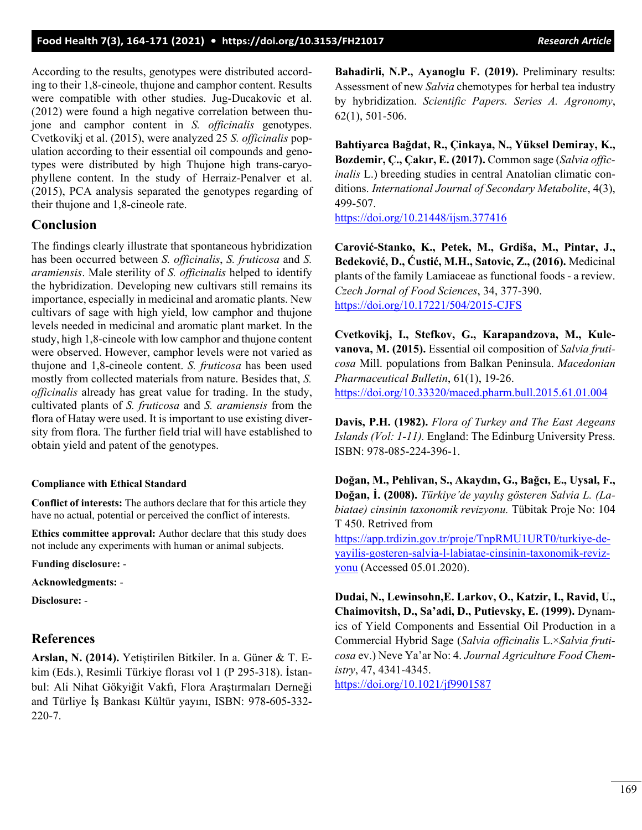According to the results, genotypes were distributed according to their 1,8-cineole, thujone and camphor content. Results were compatible with other studies. Jug-Ducakovic et al. (2012) were found a high negative correlation between thujone and camphor content in *S. officinalis* genotypes. Cvetkovikj et al. (2015), were analyzed 25 *S. officinalis* population according to their essential oil compounds and genotypes were distributed by high Thujone high trans-caryophyllene content. In the study of Herraiz-Penalver et al. (2015), PCA analysis separated the genotypes regarding of their thujone and 1,8-cineole rate.

#### **Conclusion**

The findings clearly illustrate that spontaneous hybridization has been occurred between *S. officinalis*, *S. fruticosa* and *S. aramiensis*. Male sterility of *S. officinalis* helped to identify the hybridization. Developing new cultivars still remains its importance, especially in medicinal and aromatic plants. New cultivars of sage with high yield, low camphor and thujone levels needed in medicinal and aromatic plant market. In the study, high 1,8-cineole with low camphor and thujone content were observed. However, camphor levels were not varied as thujone and 1,8-cineole content. *S. fruticosa* has been used mostly from collected materials from nature. Besides that, *S. officinalis* already has great value for trading. In the study, cultivated plants of *S. fruticosa* and *S. aramiensis* from the flora of Hatay were used. It is important to use existing diversity from flora. The further field trial will have established to obtain yield and patent of the genotypes.

#### **Compliance with Ethical Standard**

**Conflict of interests:** The authors declare that for this article they have no actual, potential or perceived the conflict of interests.

**Ethics committee approval:** Author declare that this study does not include any experiments with human or animal subjects.

**Funding disclosure:** -

**Acknowledgments:** -

**Disclosure:** -

### **References**

**Arslan, N. (2014).** Yetiştirilen Bitkiler. In a. Güner & T. Ekim (Eds.), Resimli Türkiye florası vol 1 (P 295-318). İstanbul: Ali Nihat Gökyiğit Vakfı, Flora Araştırmaları Derneği and Türliye İş Bankası Kültür yayını, ISBN: 978-605-332- 220-7.

**Bahadirli, N.P., Ayanoglu F. (2019).** Preliminary results: Assessment of new *Salvia* chemotypes for herbal tea industry by hybridization. *Scientific Papers. Series A. Agronomy*, 62(1), 501-506.

**Bahtiyarca Bağdat, R., Çinkaya, N., Yüksel Demiray, K., Bozdemir, Ç., Çakır, E. (2017).** Common sage (*Salvia officinalis* L.) breeding studies in central Anatolian climatic conditions. *International Journal of Secondary Metabolite*, 4(3), 499-507.

<https://doi.org/10.21448/ijsm.377416>

**Carović-Stanko, K., Petek, M., Grdiša, M., Pintar, J., Bedeković, D., Ćustić, M.H., Satovic, Z., (2016).** Medicinal plants of the family Lamiaceae as functional foods - a review. *Czech Jornal of Food Sciences*, 34, 377-390. [https://doi.org/10.17221/504/2015](https://doi.org/10.17221/504/2015-CJFS)-CJFS

**Cvetkovikj, I., Stefkov, G., Karapandzova, M., Kulevanova, M. (2015).** Essential oil composition of *Salvia fruticosa* Mill. populations from Balkan Peninsula. *Macedonian Pharmaceutical Bulletin*, 61(1), 19-26. <https://doi.org/10.33320/maced.pharm.bull.2015.61.01.004>

**Davis, P.H. (1982).** *Flora of Turkey and The East Aegeans Islands (Vol: 1-11).* England: The Edinburg University Press. ISBN: 978-085-224-396-1.

**Doğan, M., Pehlivan, S., Akaydın, G., Bağcı, E., Uysal, F., Doğan, İ. (2008).** *Türkiye'de yayılış gösteren Salvia L. (Labiatae) cinsinin taxonomik revizyonu.* Tübitak Proje No: 104 T 450. Retrived from [https://app.trdizin.gov.tr/proje/TnpRMU1URT0/turkiye](https://app.trdizin.gov.tr/proje/TnpRMU1URT0/turkiye-de-yayilis-gosteren-salvia-l-labiatae-cinsinin-taxonomik-revizyonu)-de-

yayilis-gosteren-salvia-l-labiatae-cinsinin-[taxonomik](https://app.trdizin.gov.tr/proje/TnpRMU1URT0/turkiye-de-yayilis-gosteren-salvia-l-labiatae-cinsinin-taxonomik-revizyonu)-reviz[yonu](https://app.trdizin.gov.tr/proje/TnpRMU1URT0/turkiye-de-yayilis-gosteren-salvia-l-labiatae-cinsinin-taxonomik-revizyonu) (Accessed 05.01.2020).

**Dudai, N., Lewinsohn,E. Larkov, O., Katzir, I., Ravid, U., Chaimovitsh, D., Sa'adi, D., Putievsky, E. (1999).** Dynamics of Yield Components and Essential Oil Production in a Commercial Hybrid Sage (*Salvia officinalis* L.×*Salvia fruticosa* ev.) Neve Ya'ar No: 4. *Journal Agriculture Food Chemistry*, 47, 4341-4345.

<https://doi.org/10.1021/jf9901587>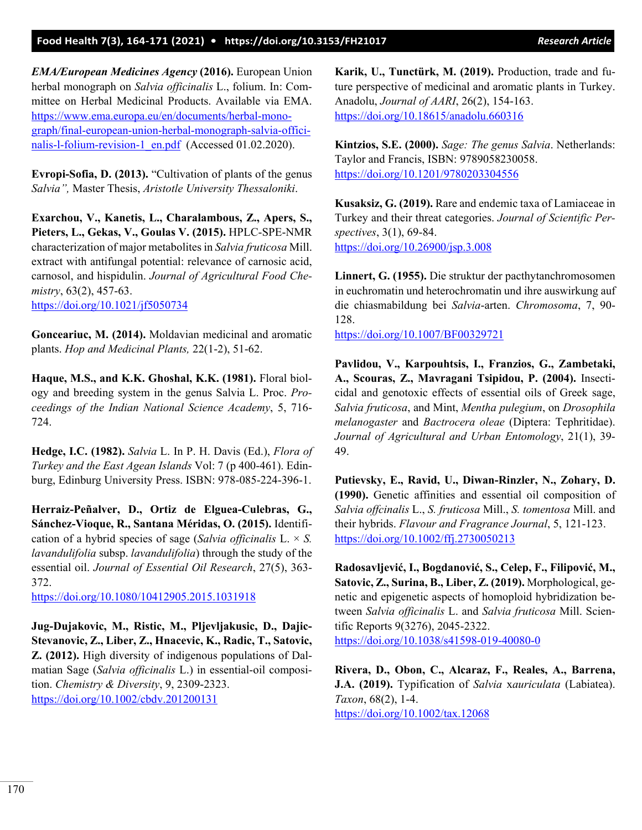*EMA/European Medicines Agency* **(2016).** European Union herbal monograph on *Salvia officinalis* L., folium. In: Committee on Herbal Medicinal Products. Available via EMA. [https://www.ema.europa.eu/en/documents/herbal](https://www.ema.europa.eu/en/documents/herbal-monograph/final-european-union-herbal-monograph-salvia-officinalis-l-folium-revision-1_en.pdf)-monograph/final-european-union-herbal-[monograph](https://www.ema.europa.eu/en/documents/herbal-monograph/final-european-union-herbal-monograph-salvia-officinalis-l-folium-revision-1_en.pdf)-salvia-offici-nalis-l-folium-revision-[1\\_en.pdf](https://www.ema.europa.eu/en/documents/herbal-monograph/final-european-union-herbal-monograph-salvia-officinalis-l-folium-revision-1_en.pdf) (Accessed 01.02.2020).

**Evropi-Sofia, D. (2013).** "Cultivation of plants of the genus *Salvia",* Master Thesis, *Aristotle University Thessaloniki*.

**Exarchou, V., Kanetis, L., Charalambous, Z., Apers, S., Pieters, L., Gekas, V., Goulas V. (2015).** HPLC-SPE-NMR characterization of major metabolites in *Salvia fruticosa* Mill. extract with antifungal potential: relevance of carnosic acid, carnosol, and hispidulin. *Journal of Agricultural Food Chemistry*, 63(2), 457-63. <https://doi.org/10.1021/jf5050734>

**Gonceariuc, M. (2014).** Moldavian medicinal and aromatic plants. *Hop and Medicinal Plants,* 22(1-2), 51-62.

**Haque, M.S., and K.K. Ghoshal, K.K. (1981).** Floral biology and breeding system in the genus Salvia L. Proc. *Proceedings of the Indian National Science Academy*, 5, 716- 724.

**Hedge, I.C. (1982).** *Salvia* L. In P. H. Davis (Ed.), *Flora of Turkey and the East Agean Islands* Vol: 7 (p 400-461). Edinburg, Edinburg University Press. ISBN: 978-085-224-396-1.

**Herraiz-Peñalver, D., Ortiz de Elguea-Culebras, G., Sánchez-Vioque, R., Santana Méridas, O. (2015).** Identification of a hybrid species of sage (*Salvia officinalis* L. × *S. lavandulifolia* subsp. *lavandulifolia*) through the study of the essential oil. *Journal of Essential Oil Research*, 27(5), 363- 372.

<https://doi.org/10.1080/10412905.2015.1031918>

**Jug-Dujakovic, M., Ristic, M., Pljevljakusic, D., Dajic-Stevanovic, Z., Liber, Z., Hnacevic, K., Radic, T., Satovic, Z. (2012).** High diversity of indigenous populations of Dalmatian Sage (*Salvia officinalis* L.) in essential-oil composition. *Chemistry & Diversity*, 9, 2309-2323. [https://doi.org/10.1002/cbdv.20120013](https://doi.org/10.1002/cbdv.201200131)1

**Karik, U., Tunctürk, M. (2019).** Production, trade and future perspective of medicinal and aromatic plants in Turkey. Anadolu, *Journal of AARI*, 26(2), 154-163. <https://doi.org/10.18615/anadolu.660316>

**Kintzios, S.E. (2000).** *Sage: The genus Salvia*. Netherlands: Taylor and Francis, ISBN: 9789058230058. <https://doi.org/10.1201/9780203304556>

**Kusaksiz, G. (2019).** Rare and endemic taxa of Lamiaceae in Turkey and their threat categories. *Journal of Scientific Perspectives*, 3(1), 69-84. <https://doi.org/10.26900/jsp.3.008>

**Linnert, G. (1955).** Die struktur der pacthytanchromosomen in euchromatin und heterochromatin und ihre auswirkung auf die chiasmabildung bei *Salvia*-arten. *Chromosoma*, 7, 90- 128.

<https://doi.org/10.1007/BF00329721>

**Pavlidou, V., Karpouhtsis, I., Franzios, G., Zambetaki, A., Scouras, Z., Mavragani Tsipidou, P. (2004).** Insecticidal and genotoxic effects of essential oils of Greek sage, *Salvia fruticosa*, and Mint, *Mentha pulegium*, on *Drosophila melanogaster* and *Bactrocera oleae* (Diptera: Tephritidae). *Journal of Agricultural and Urban Entomology*, 21(1), 39- 49.

**Putievsky, E., Ravid, U., Diwan-Rinzler, N., Zohary, D. (1990).** Genetic affinities and essential oil composition of *Salvia offcinalis* L., *S. fruticosa* Mill., *S. tomentosa* Mill. and their hybrids. *Flavour and Fragrance Journal*, 5, 121-123. <https://doi.org/10.1002/ffj.2730050213>

**Radosavljević, I., Bogdanović, S., Celep, F., Filipović, M., Satovic, Z., Surina, B., Liber, Z. (2019).** Morphological, genetic and epigenetic aspects of homoploid hybridization between *Salvia officinalis* L. and *Salvia fruticosa* Mill. Scientific Reports 9(3276), 2045-2322. [https://doi.org/10.1038/s41598](https://doi.org/10.1038/s41598-019-40080-0)-019-40080-0

**Rivera, D., Obon, C., Alcaraz, F., Reales, A., Barrena, J.A. (2019).** Typification of *Salvia* x*auriculata* (Labiatea). *Taxon*, 68(2), 1-4. <https://doi.org/10.1002/tax.12068>